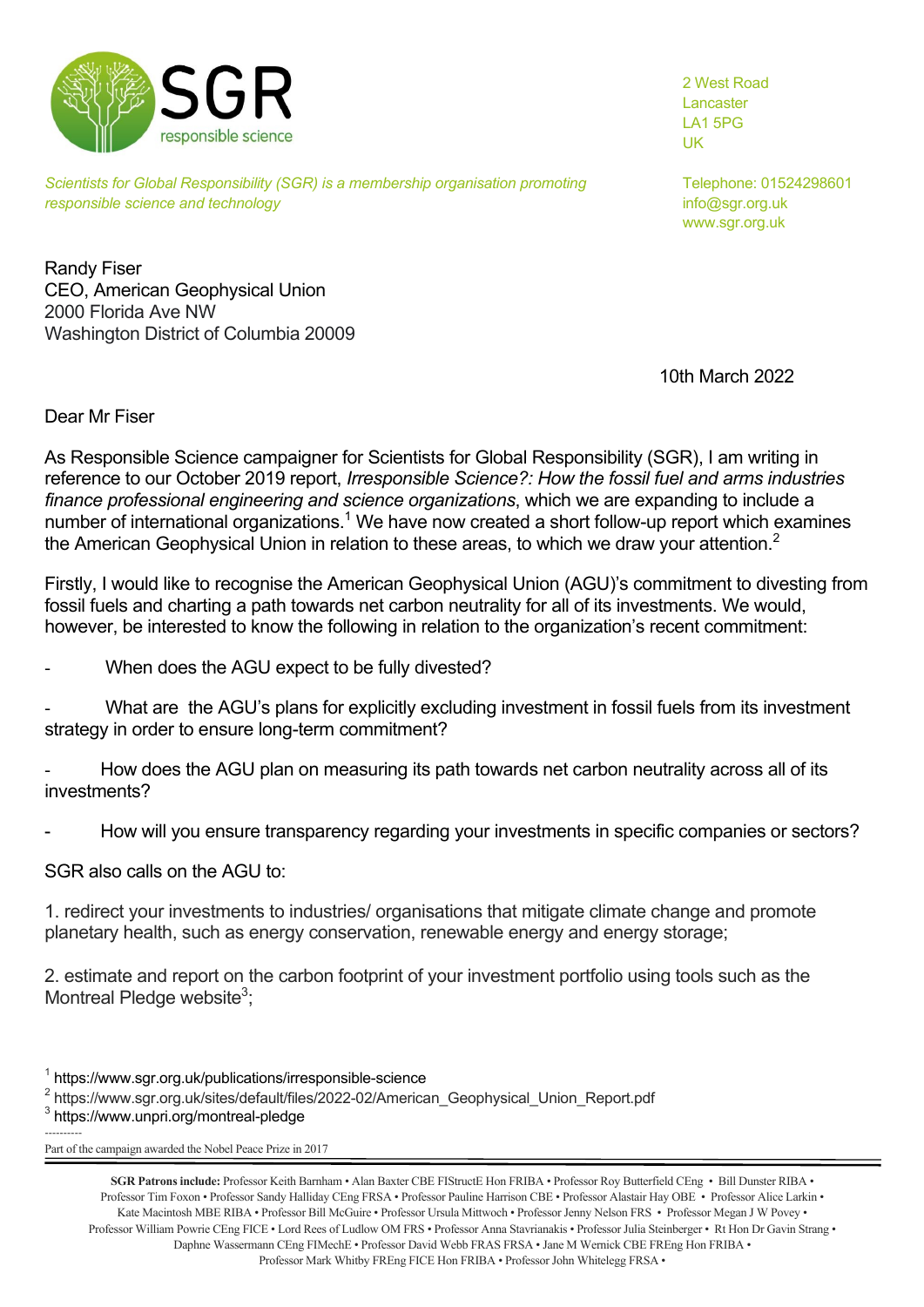

*Scientists for Global Responsibility (SGR) is a membership organisation promoting* Telephone: 01524298601 *responsible science and technology* info@sqr.org.uk

2 West Road Lancaster LA1 5PG UK

www.sgr.org.uk

Randy Fiser CEO, American Geophysical Union 2000 Florida Ave NW Washington District of Columbia 20009

10th March 2022

Dear Mr Fiser

As Responsible Science campaigner for Scientists for Global Responsibility (SGR), I am writing in reference to our October 2019 report, *Irresponsible Science?: How the fossil fuel and arms industries finance professional engineering and science organizations*, which we are expanding to include a number of international organizations.<sup>1</sup> We have now created a short follow-up report which examines the American Geophysical Union in relation to these areas, to which we draw your attention.<sup>2</sup>

Firstly, I would like to recognise the American Geophysical Union (AGU)'s commitment to divesting from fossil fuels and charting a path towards net carbon neutrality for all of its investments. We would, however, be interested to know the following in relation to the organization's recent commitment:

When does the AGU expect to be fully divested?

What are the AGU's plans for explicitly excluding investment in fossil fuels from its investment strategy in order to ensure long-term commitment?

How does the AGU plan on measuring its path towards net carbon neutrality across all of its investments?

How will you ensure transparency regarding your investments in specific companies or sectors?

SGR also calls on the AGU to:

1. redirect your investments to industries/ organisations that mitigate climate change and promote planetary health, such as energy conservation, renewable energy and energy storage;

2. estimate and report on the carbon footprint of your investment portfolio using tools such as the Montreal Pledge website<sup>3</sup>;

----------

<sup>1</sup> https://www.sgr.org.uk/publications/irresponsible-science

<sup>2</sup> https://www.sgr.org.uk/sites/default/files/2022-02/American\_Geophysical\_Union\_Report.pdf

<sup>3</sup> https://www.unpri.org/montreal-pledge

Part of the campaign awarded the Nobel Peace Prize in 2017

**SGR Patrons include:** Professor Keith Barnham • Alan Baxter CBE FIStructE Hon FRIBA • Professor Roy Butterfield CEng • Bill Dunster RIBA • Professor Tim Foxon • Professor Sandy Halliday CEng FRSA • Professor Pauline Harrison CBE • Professor Alastair Hay OBE • Professor Alice Larkin • Kate Macintosh MBE RIBA · Professor Bill McGuire · Professor Ursula Mittwoch · Professor Jenny Nelson FRS · Professor Megan J W Povey · Professor William Powrie CEng FICE • Lord Rees of Ludlow OM FRS • Professor Anna Stavrianakis • Professor Julia Steinberger • Rt Hon Dr Gavin Strang • Daphne Wassermann CEng FIMechE • Professor David Webb FRAS FRSA • Jane M Wernick CBE FREng Hon FRIBA • Professor Mark Whitby FREng FICE Hon FRIBA • Professor John Whitelegg FRSA •